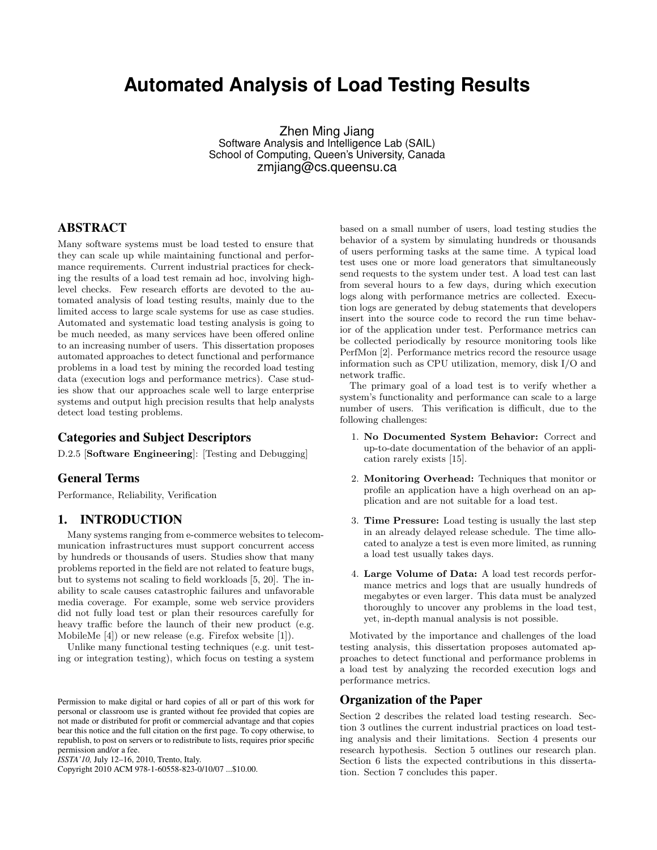# **Automated Analysis of Load Testing Results**

Zhen Ming Jiang Software Analysis and Intelligence Lab (SAIL) School of Computing, Queen's University, Canada zmjiang@cs.queensu.ca

# ABSTRACT

Many software systems must be load tested to ensure that they can scale up while maintaining functional and performance requirements. Current industrial practices for checking the results of a load test remain ad hoc, involving highlevel checks. Few research efforts are devoted to the automated analysis of load testing results, mainly due to the limited access to large scale systems for use as case studies. Automated and systematic load testing analysis is going to be much needed, as many services have been offered online to an increasing number of users. This dissertation proposes automated approaches to detect functional and performance problems in a load test by mining the recorded load testing data (execution logs and performance metrics). Case studies show that our approaches scale well to large enterprise systems and output high precision results that help analysts detect load testing problems.

## Categories and Subject Descriptors

D.2.5 [Software Engineering]: [Testing and Debugging]

#### General Terms

Performance, Reliability, Verification

#### 1. INTRODUCTION

Many systems ranging from e-commerce websites to telecommunication infrastructures must support concurrent access by hundreds or thousands of users. Studies show that many problems reported in the field are not related to feature bugs, but to systems not scaling to field workloads [5, 20]. The inability to scale causes catastrophic failures and unfavorable media coverage. For example, some web service providers did not fully load test or plan their resources carefully for heavy traffic before the launch of their new product (e.g. MobileMe [4]) or new release (e.g. Firefox website [1]).

Unlike many functional testing techniques (e.g. unit testing or integration testing), which focus on testing a system

Copyright 2010 ACM 978-1-60558-823-0/10/07 ...\$10.00.

based on a small number of users, load testing studies the behavior of a system by simulating hundreds or thousands of users performing tasks at the same time. A typical load test uses one or more load generators that simultaneously send requests to the system under test. A load test can last from several hours to a few days, during which execution logs along with performance metrics are collected. Execution logs are generated by debug statements that developers insert into the source code to record the run time behavior of the application under test. Performance metrics can be collected periodically by resource monitoring tools like PerfMon [2]. Performance metrics record the resource usage information such as CPU utilization, memory, disk I/O and network traffic.

The primary goal of a load test is to verify whether a system's functionality and performance can scale to a large number of users. This verification is difficult, due to the following challenges:

- 1. No Documented System Behavior: Correct and up-to-date documentation of the behavior of an application rarely exists [15].
- 2. Monitoring Overhead: Techniques that monitor or profile an application have a high overhead on an application and are not suitable for a load test.
- 3. Time Pressure: Load testing is usually the last step in an already delayed release schedule. The time allocated to analyze a test is even more limited, as running a load test usually takes days.
- 4. Large Volume of Data: A load test records performance metrics and logs that are usually hundreds of megabytes or even larger. This data must be analyzed thoroughly to uncover any problems in the load test, yet, in-depth manual analysis is not possible.

Motivated by the importance and challenges of the load testing analysis, this dissertation proposes automated approaches to detect functional and performance problems in a load test by analyzing the recorded execution logs and performance metrics.

#### Organization of the Paper

Section 2 describes the related load testing research. Section 3 outlines the current industrial practices on load testing analysis and their limitations. Section 4 presents our research hypothesis. Section 5 outlines our research plan. Section 6 lists the expected contributions in this dissertation. Section 7 concludes this paper.

Permission to make digital or hard copies of all or part of this work for personal or classroom use is granted without fee provided that copies are not made or distributed for profit or commercial advantage and that copies bear this notice and the full citation on the first page. To copy otherwise, to republish, to post on servers or to redistribute to lists, requires prior specific permission and/or a fee.

*ISSTA'10,* July 12–16, 2010, Trento, Italy.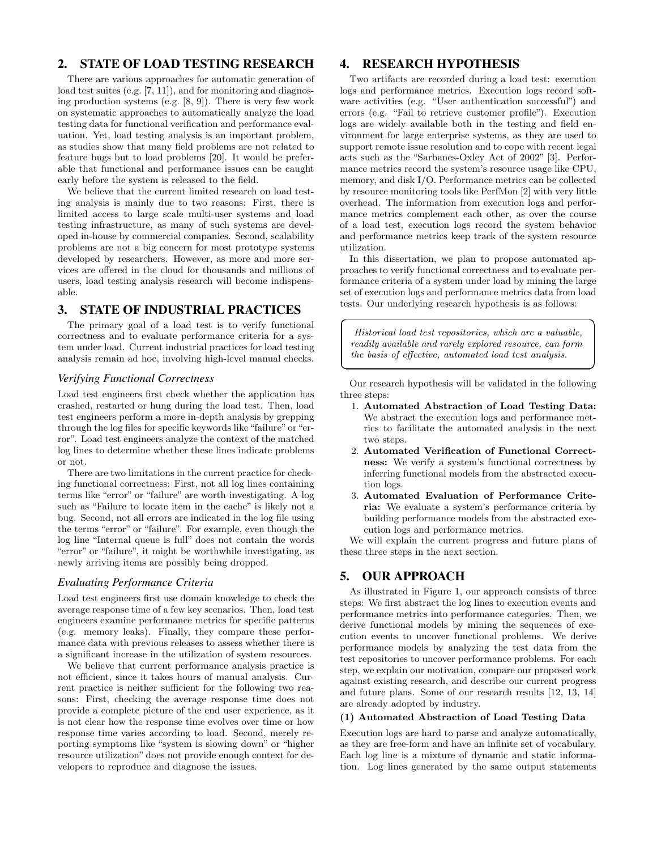# 2. STATE OF LOAD TESTING RESEARCH

There are various approaches for automatic generation of load test suites (e.g. [7, 11]), and for monitoring and diagnosing production systems (e.g. [8, 9]). There is very few work on systematic approaches to automatically analyze the load testing data for functional verification and performance evaluation. Yet, load testing analysis is an important problem, as studies show that many field problems are not related to feature bugs but to load problems [20]. It would be preferable that functional and performance issues can be caught early before the system is released to the field.

We believe that the current limited research on load testing analysis is mainly due to two reasons: First, there is limited access to large scale multi-user systems and load testing infrastructure, as many of such systems are developed in-house by commercial companies. Second, scalability problems are not a big concern for most prototype systems developed by researchers. However, as more and more services are offered in the cloud for thousands and millions of users, load testing analysis research will become indispensable.

## 3. STATE OF INDUSTRIAL PRACTICES

The primary goal of a load test is to verify functional correctness and to evaluate performance criteria for a system under load. Current industrial practices for load testing analysis remain ad hoc, involving high-level manual checks.

#### *Verifying Functional Correctness*

Load test engineers first check whether the application has crashed, restarted or hung during the load test. Then, load test engineers perform a more in-depth analysis by grepping through the log files for specific keywords like "failure" or "error". Load test engineers analyze the context of the matched log lines to determine whether these lines indicate problems or not.

There are two limitations in the current practice for checking functional correctness: First, not all log lines containing terms like "error" or "failure" are worth investigating. A log such as "Failure to locate item in the cache" is likely not a bug. Second, not all errors are indicated in the log file using the terms "error" or "failure". For example, even though the log line "Internal queue is full" does not contain the words "error" or "failure", it might be worthwhile investigating, as newly arriving items are possibly being dropped.

#### *Evaluating Performance Criteria*

Load test engineers first use domain knowledge to check the average response time of a few key scenarios. Then, load test engineers examine performance metrics for specific patterns (e.g. memory leaks). Finally, they compare these performance data with previous releases to assess whether there is a significant increase in the utilization of system resources.

We believe that current performance analysis practice is not efficient, since it takes hours of manual analysis. Current practice is neither sufficient for the following two reasons: First, checking the average response time does not provide a complete picture of the end user experience, as it is not clear how the response time evolves over time or how response time varies according to load. Second, merely reporting symptoms like "system is slowing down" or "higher resource utilization" does not provide enough context for developers to reproduce and diagnose the issues.

## 4. RESEARCH HYPOTHESIS

Two artifacts are recorded during a load test: execution logs and performance metrics. Execution logs record software activities (e.g. "User authentication successful") and errors (e.g. "Fail to retrieve customer profile"). Execution logs are widely available both in the testing and field environment for large enterprise systems, as they are used to support remote issue resolution and to cope with recent legal acts such as the "Sarbanes-Oxley Act of 2002" [3]. Performance metrics record the system's resource usage like CPU, memory, and disk I/O. Performance metrics can be collected by resource monitoring tools like PerfMon [2] with very little overhead. The information from execution logs and performance metrics complement each other, as over the course of a load test, execution logs record the system behavior and performance metrics keep track of the system resource utilization.

In this dissertation, we plan to propose automated approaches to verify functional correctness and to evaluate performance criteria of a system under load by mining the large set of execution logs and performance metrics data from load tests. Our underlying research hypothesis is as follows:

Historical load test repositories, which are a valuable, readily available and rarely explored resource, can form the basis of effective, automated load test analysis.

☎

✆

Our research hypothesis will be validated in the following three steps:

- 1. Automated Abstraction of Load Testing Data: We abstract the execution logs and performance metrics to facilitate the automated analysis in the next two steps.
- 2. Automated Verification of Functional Correctness: We verify a system's functional correctness by inferring functional models from the abstracted execution logs.
- 3. Automated Evaluation of Performance Criteria: We evaluate a system's performance criteria by building performance models from the abstracted execution logs and performance metrics.

We will explain the current progress and future plans of these three steps in the next section.

## 5. OUR APPROACH

 $\overline{a}$ 

✝

As illustrated in Figure 1, our approach consists of three steps: We first abstract the log lines to execution events and performance metrics into performance categories. Then, we derive functional models by mining the sequences of execution events to uncover functional problems. We derive performance models by analyzing the test data from the test repositories to uncover performance problems. For each step, we explain our motivation, compare our proposed work against existing research, and describe our current progress and future plans. Some of our research results [12, 13, 14] are already adopted by industry.

#### (1) Automated Abstraction of Load Testing Data

Execution logs are hard to parse and analyze automatically, as they are free-form and have an infinite set of vocabulary. Each log line is a mixture of dynamic and static information. Log lines generated by the same output statements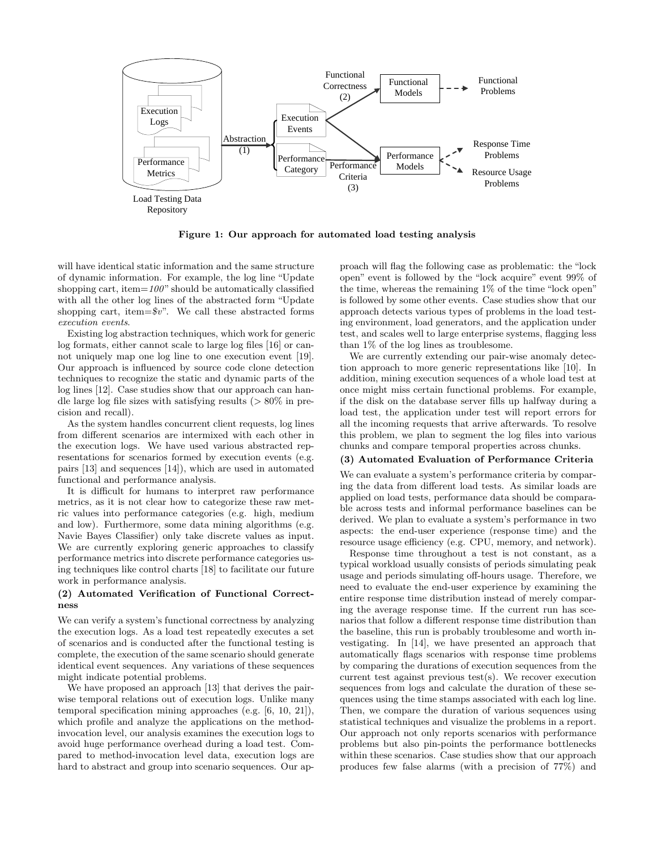

Figure 1: Our approach for automated load testing analysis

will have identical static information and the same structure of dynamic information. For example, the log line "Update shopping cart, item= $100"$  should be automatically classified with all the other log lines of the abstracted form "Update shopping cart, item= $\$v$ ". We call these abstracted forms execution events.

Existing log abstraction techniques, which work for generic log formats, either cannot scale to large log files [16] or cannot uniquely map one log line to one execution event [19]. Our approach is influenced by source code clone detection techniques to recognize the static and dynamic parts of the log lines [12]. Case studies show that our approach can handle large log file sizes with satisfying results  $(> 80\%$  in precision and recall).

As the system handles concurrent client requests, log lines from different scenarios are intermixed with each other in the execution logs. We have used various abstracted representations for scenarios formed by execution events (e.g. pairs [13] and sequences [14]), which are used in automated functional and performance analysis.

It is difficult for humans to interpret raw performance metrics, as it is not clear how to categorize these raw metric values into performance categories (e.g. high, medium and low). Furthermore, some data mining algorithms (e.g. Navie Bayes Classifier) only take discrete values as input. We are currently exploring generic approaches to classify performance metrics into discrete performance categories using techniques like control charts [18] to facilitate our future work in performance analysis.

#### (2) Automated Verification of Functional Correctness

We can verify a system's functional correctness by analyzing the execution logs. As a load test repeatedly executes a set of scenarios and is conducted after the functional testing is complete, the execution of the same scenario should generate identical event sequences. Any variations of these sequences might indicate potential problems.

We have proposed an approach [13] that derives the pairwise temporal relations out of execution logs. Unlike many temporal specification mining approaches (e.g. [6, 10, 21]), which profile and analyze the applications on the methodinvocation level, our analysis examines the execution logs to avoid huge performance overhead during a load test. Compared to method-invocation level data, execution logs are hard to abstract and group into scenario sequences. Our approach will flag the following case as problematic: the "lock open" event is followed by the "lock acquire" event 99% of the time, whereas the remaining 1% of the time "lock open" is followed by some other events. Case studies show that our approach detects various types of problems in the load testing environment, load generators, and the application under test, and scales well to large enterprise systems, flagging less than 1% of the log lines as troublesome.

We are currently extending our pair-wise anomaly detection approach to more generic representations like [10]. In addition, mining execution sequences of a whole load test at once might miss certain functional problems. For example, if the disk on the database server fills up halfway during a load test, the application under test will report errors for all the incoming requests that arrive afterwards. To resolve this problem, we plan to segment the log files into various chunks and compare temporal properties across chunks.

#### (3) Automated Evaluation of Performance Criteria

We can evaluate a system's performance criteria by comparing the data from different load tests. As similar loads are applied on load tests, performance data should be comparable across tests and informal performance baselines can be derived. We plan to evaluate a system's performance in two aspects: the end-user experience (response time) and the resource usage efficiency (e.g. CPU, memory, and network).

Response time throughout a test is not constant, as a typical workload usually consists of periods simulating peak usage and periods simulating off-hours usage. Therefore, we need to evaluate the end-user experience by examining the entire response time distribution instead of merely comparing the average response time. If the current run has scenarios that follow a different response time distribution than the baseline, this run is probably troublesome and worth investigating. In [14], we have presented an approach that automatically flags scenarios with response time problems by comparing the durations of execution sequences from the current test against previous test(s). We recover execution sequences from logs and calculate the duration of these sequences using the time stamps associated with each log line. Then, we compare the duration of various sequences using statistical techniques and visualize the problems in a report. Our approach not only reports scenarios with performance problems but also pin-points the performance bottlenecks within these scenarios. Case studies show that our approach produces few false alarms (with a precision of 77%) and